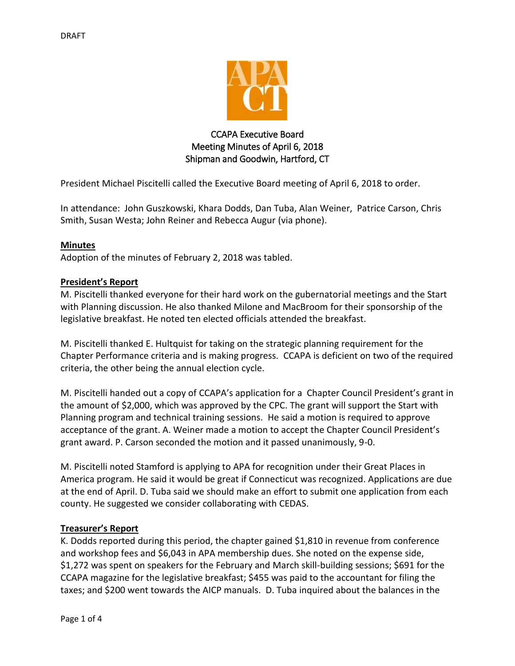

# CCAPA Executive Board Meeting Minutes of April 6, 2018 Shipman and Goodwin, Hartford, CT

President Michael Piscitelli called the Executive Board meeting of April 6, 2018 to order.

In attendance: John Guszkowski, Khara Dodds, Dan Tuba, Alan Weiner, Patrice Carson, Chris Smith, Susan Westa; John Reiner and Rebecca Augur (via phone).

#### **Minutes**

Adoption of the minutes of February 2, 2018 was tabled.

#### **President's Report**

M. Piscitelli thanked everyone for their hard work on the gubernatorial meetings and the Start with Planning discussion. He also thanked Milone and MacBroom for their sponsorship of the legislative breakfast. He noted ten elected officials attended the breakfast.

M. Piscitelli thanked E. Hultquist for taking on the strategic planning requirement for the Chapter Performance criteria and is making progress. CCAPA is deficient on two of the required criteria, the other being the annual election cycle.

M. Piscitelli handed out a copy of CCAPA's application for a Chapter Council President's grant in the amount of \$2,000, which was approved by the CPC. The grant will support the Start with Planning program and technical training sessions. He said a motion is required to approve acceptance of the grant. A. Weiner made a motion to accept the Chapter Council President's grant award. P. Carson seconded the motion and it passed unanimously, 9-0.

M. Piscitelli noted Stamford is applying to APA for recognition under their Great Places in America program. He said it would be great if Connecticut was recognized. Applications are due at the end of April. D. Tuba said we should make an effort to submit one application from each county. He suggested we consider collaborating with CEDAS.

# **Treasurer's Report**

K. Dodds reported during this period, the chapter gained \$1,810 in revenue from conference and workshop fees and \$6,043 in APA membership dues. She noted on the expense side, \$1,272 was spent on speakers for the February and March skill-building sessions; \$691 for the CCAPA magazine for the legislative breakfast; \$455 was paid to the accountant for filing the taxes; and \$200 went towards the AICP manuals. D. Tuba inquired about the balances in the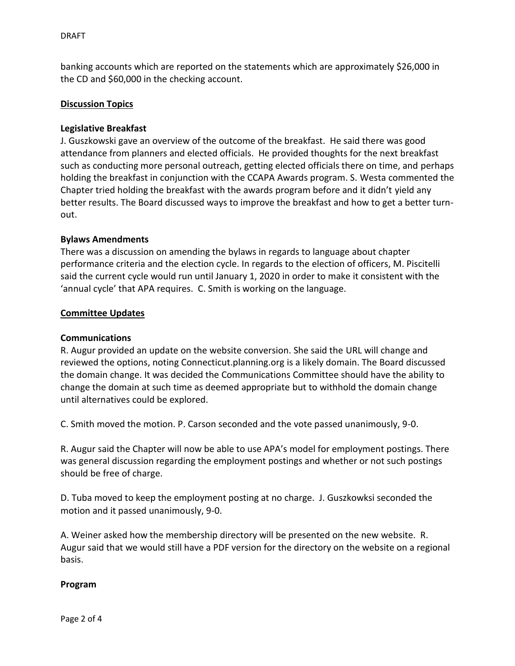banking accounts which are reported on the statements which are approximately \$26,000 in the CD and \$60,000 in the checking account.

#### **Discussion Topics**

#### **Legislative Breakfast**

J. Guszkowski gave an overview of the outcome of the breakfast. He said there was good attendance from planners and elected officials. He provided thoughts for the next breakfast such as conducting more personal outreach, getting elected officials there on time, and perhaps holding the breakfast in conjunction with the CCAPA Awards program. S. Westa commented the Chapter tried holding the breakfast with the awards program before and it didn't yield any better results. The Board discussed ways to improve the breakfast and how to get a better turnout.

#### **Bylaws Amendments**

There was a discussion on amending the bylaws in regards to language about chapter performance criteria and the election cycle. In regards to the election of officers, M. Piscitelli said the current cycle would run until January 1, 2020 in order to make it consistent with the 'annual cycle' that APA requires. C. Smith is working on the language.

#### **Committee Updates**

### **Communications**

R. Augur provided an update on the website conversion. She said the URL will change and reviewed the options, noting Connecticut.planning.org is a likely domain. The Board discussed the domain change. It was decided the Communications Committee should have the ability to change the domain at such time as deemed appropriate but to withhold the domain change until alternatives could be explored.

C. Smith moved the motion. P. Carson seconded and the vote passed unanimously, 9-0.

R. Augur said the Chapter will now be able to use APA's model for employment postings. There was general discussion regarding the employment postings and whether or not such postings should be free of charge.

D. Tuba moved to keep the employment posting at no charge. J. Guszkowksi seconded the motion and it passed unanimously, 9-0.

A. Weiner asked how the membership directory will be presented on the new website. R. Augur said that we would still have a PDF version for the directory on the website on a regional basis.

#### **Program**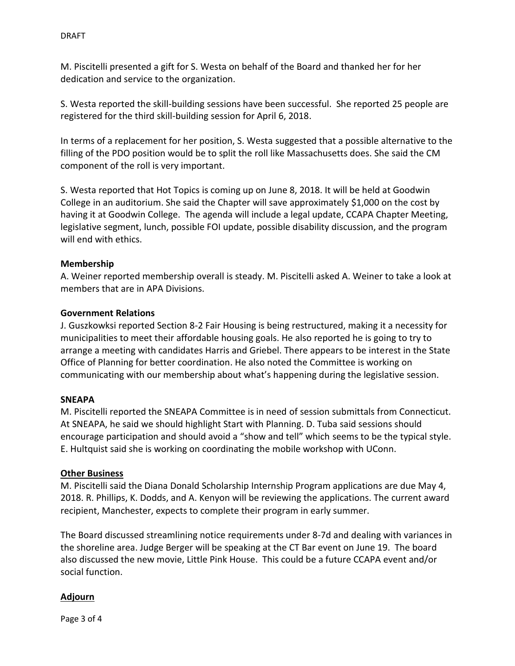M. Piscitelli presented a gift for S. Westa on behalf of the Board and thanked her for her dedication and service to the organization.

S. Westa reported the skill-building sessions have been successful. She reported 25 people are registered for the third skill-building session for April 6, 2018.

In terms of a replacement for her position, S. Westa suggested that a possible alternative to the filling of the PDO position would be to split the roll like Massachusetts does. She said the CM component of the roll is very important.

S. Westa reported that Hot Topics is coming up on June 8, 2018. It will be held at Goodwin College in an auditorium. She said the Chapter will save approximately \$1,000 on the cost by having it at Goodwin College. The agenda will include a legal update, CCAPA Chapter Meeting, legislative segment, lunch, possible FOI update, possible disability discussion, and the program will end with ethics.

# **Membership**

A. Weiner reported membership overall is steady. M. Piscitelli asked A. Weiner to take a look at members that are in APA Divisions.

# **Government Relations**

J. Guszkowksi reported Section 8-2 Fair Housing is being restructured, making it a necessity for municipalities to meet their affordable housing goals. He also reported he is going to try to arrange a meeting with candidates Harris and Griebel. There appears to be interest in the State Office of Planning for better coordination. He also noted the Committee is working on communicating with our membership about what's happening during the legislative session.

# **SNEAPA**

M. Piscitelli reported the SNEAPA Committee is in need of session submittals from Connecticut. At SNEAPA, he said we should highlight Start with Planning. D. Tuba said sessions should encourage participation and should avoid a "show and tell" which seems to be the typical style. E. Hultquist said she is working on coordinating the mobile workshop with UConn.

# **Other Business**

M. Piscitelli said the Diana Donald Scholarship Internship Program applications are due May 4, 2018. R. Phillips, K. Dodds, and A. Kenyon will be reviewing the applications. The current award recipient, Manchester, expects to complete their program in early summer.

The Board discussed streamlining notice requirements under 8-7d and dealing with variances in the shoreline area. Judge Berger will be speaking at the CT Bar event on June 19. The board also discussed the new movie, Little Pink House. This could be a future CCAPA event and/or social function.

# **Adjourn**

Page 3 of 4